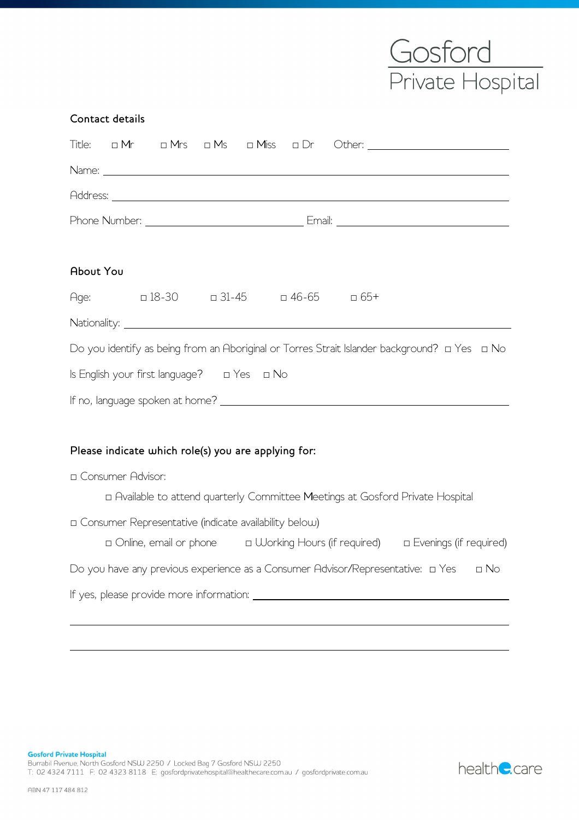## Gosford<br>Private Hospital

| Contact details                                                                                                                                                                                                                                                                               |
|-----------------------------------------------------------------------------------------------------------------------------------------------------------------------------------------------------------------------------------------------------------------------------------------------|
| Title: $\Box$ Mr $\Box$ Mrs $\Box$ Ms $\Box$ Miss $\Box$ Dr<br>Other: the contract of the contract of the contract of the contract of the contract of the contract of the contract of the contract of the contract of the contract of the contract of the contract of the contract of the con |
| Name: <u>2008.000 million and the contract of the contract of the contract of the contract of the contract of the contract of the contract of the contract of the contract of the contract of the contract of the contract of th</u>                                                          |
|                                                                                                                                                                                                                                                                                               |
|                                                                                                                                                                                                                                                                                               |
|                                                                                                                                                                                                                                                                                               |
| <b>About You</b>                                                                                                                                                                                                                                                                              |
| Age: □ 18-30 □ 31-45 □ 46-65 □ 65+                                                                                                                                                                                                                                                            |
| Nationality: <u>www.community.community: www.community: www.community: www.community: www.community.com</u>                                                                                                                                                                                   |
| Do you identify as being from an Aboriginal or Torres Strait Islander background? □ Yes □ No                                                                                                                                                                                                  |
|                                                                                                                                                                                                                                                                                               |
|                                                                                                                                                                                                                                                                                               |
|                                                                                                                                                                                                                                                                                               |
| Please indicate which role(s) you are applying for:                                                                                                                                                                                                                                           |
| <b>D</b> Consumer Advisor:                                                                                                                                                                                                                                                                    |
| n Available to attend quarterly Committee Meetings at Gosford Private Hospital                                                                                                                                                                                                                |
| n Consumer Representative (indicate availability below)                                                                                                                                                                                                                                       |
| □ Online, email or phone<br>□ Working Hours (if required) □ Evenings (if required)                                                                                                                                                                                                            |
| Do you have any previous experience as a Consumer Advisor/Representative: $\Box$ Yes<br>$\Box$ No                                                                                                                                                                                             |
|                                                                                                                                                                                                                                                                                               |